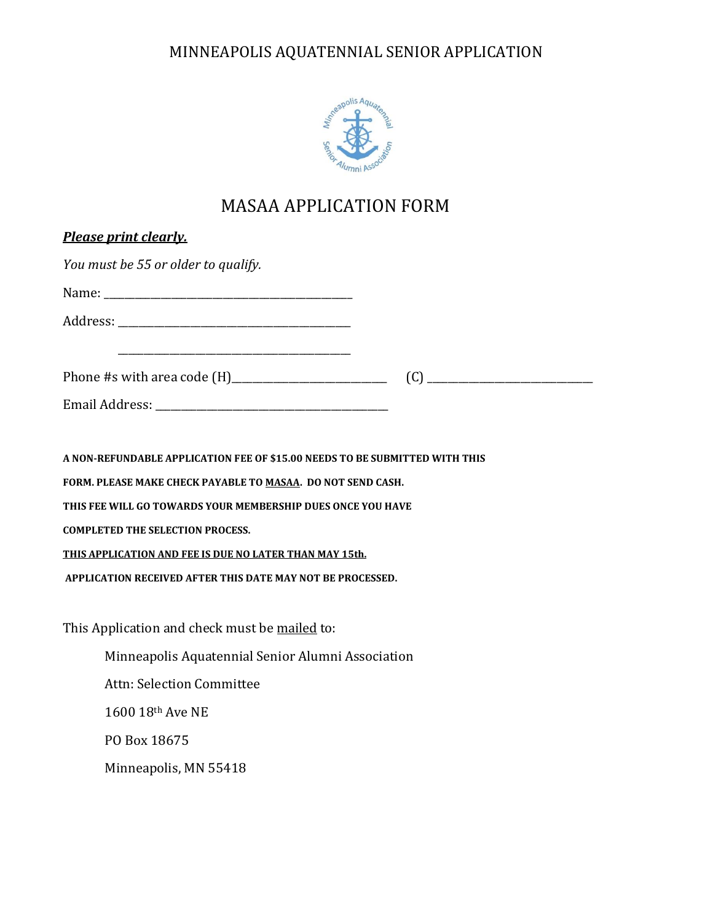

# MASAA APPLICATION FORM

| <b>Please print clearly.</b>                                                |  |
|-----------------------------------------------------------------------------|--|
| You must be 55 or older to qualify.                                         |  |
|                                                                             |  |
|                                                                             |  |
|                                                                             |  |
|                                                                             |  |
|                                                                             |  |
|                                                                             |  |
| A NON-REFUNDABLE APPLICATION FEE OF \$15.00 NEEDS TO BE SUBMITTED WITH THIS |  |
| FORM. PLEASE MAKE CHECK PAYABLE TO MASAA. DO NOT SEND CASH.                 |  |
| THIS FEE WILL GO TOWARDS YOUR MEMBERSHIP DUES ONCE YOU HAVE                 |  |
| <b>COMPLETED THE SELECTION PROCESS.</b>                                     |  |
| <b>THIS APPLICATION AND FEE IS DUE NO LATER THAN MAY 15th.</b>              |  |
| APPLICATION RECEIVED AFTER THIS DATE MAY NOT BE PROCESSED.                  |  |
| This Application and check must be mailed to:                               |  |
| Minneapolis Aquatennial Senior Alumni Association                           |  |
| Attn: Selection Committee                                                   |  |
| 1600 18th Ave NE                                                            |  |
| PO Box 18675                                                                |  |
| Minneapolis, MN 55418                                                       |  |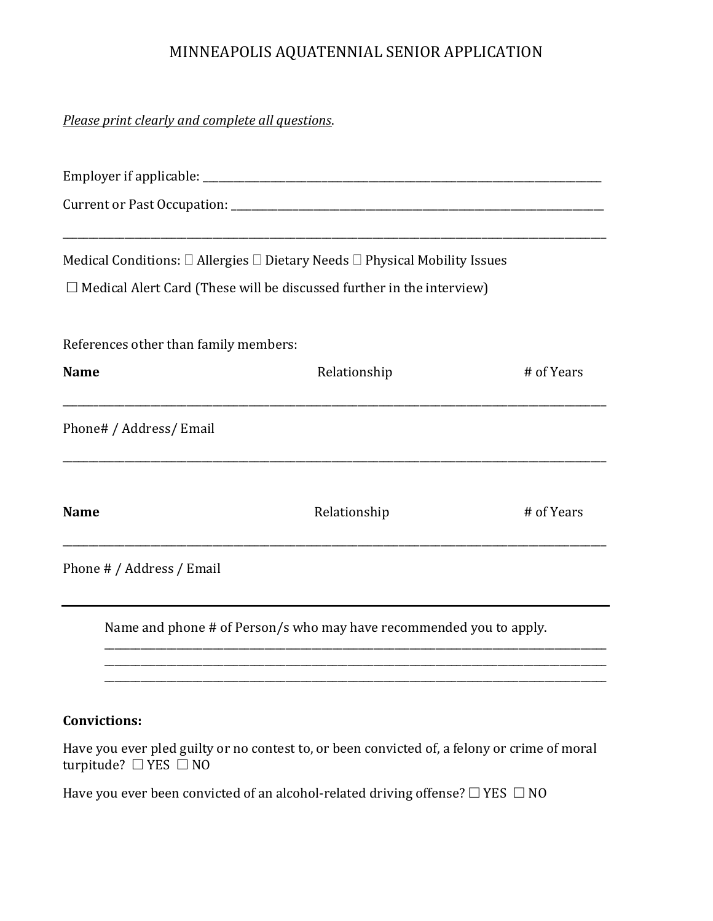*Please print clearly and complete all questions*.

|                                       | Medical Conditions: $\Box$ Allergies $\Box$ Dietary Needs $\Box$ Physical Mobility Issues |            |
|---------------------------------------|-------------------------------------------------------------------------------------------|------------|
|                                       | $\Box$ Medical Alert Card (These will be discussed further in the interview)              |            |
| References other than family members: |                                                                                           |            |
| <b>Name</b>                           | Relationship                                                                              | # of Years |
| Phone# / Address/ Email               |                                                                                           |            |
| <b>Name</b>                           | Relationship                                                                              | # of Years |
| Phone # / Address / Email             |                                                                                           |            |
|                                       | Name and phone # of Person/s who may have recommended you to apply.                       |            |

### **Convictions:**

Have you ever pled guilty or no contest to, or been convicted of, a felony or crime of moral turpitude?  $\Box$  YES  $\Box$  NO

\_\_\_\_\_\_\_\_\_\_\_\_\_\_\_\_\_\_\_\_\_\_\_\_\_\_\_\_\_\_\_\_\_\_\_\_\_\_\_\_\_\_\_\_\_\_\_\_\_\_\_\_\_\_\_\_\_\_\_\_\_\_\_\_\_\_\_\_\_\_\_\_\_\_\_\_\_\_\_\_\_\_\_\_\_\_\_\_\_\_\_\_\_\_\_\_\_ \_\_\_\_\_\_\_\_\_\_\_\_\_\_\_\_\_\_\_\_\_\_\_\_\_\_\_\_\_\_\_\_\_\_\_\_\_\_\_\_\_\_\_\_\_\_\_\_\_\_\_\_\_\_\_\_\_\_\_\_\_\_\_\_\_\_\_\_\_\_\_\_\_\_\_\_\_\_\_\_\_\_\_\_\_\_\_\_\_\_\_\_\_\_\_\_\_

Have you ever been convicted of an alcohol-related driving offense?  $\Box$  YES  $\Box$  NO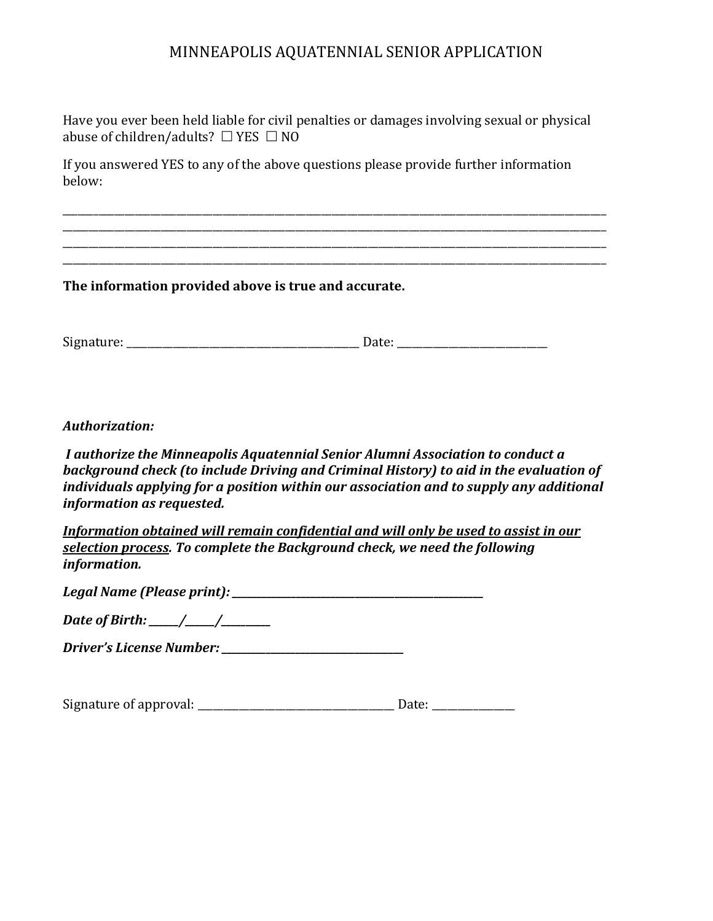Have you ever been held liable for civil penalties or damages involving sexual or physical abuse of children/adults?  $\Box$  YES  $\Box$  NO

\_\_\_\_\_\_\_\_\_\_\_\_\_\_\_\_\_\_\_\_\_\_\_\_\_\_\_\_\_\_\_\_\_\_\_\_\_\_\_\_\_\_\_\_\_\_\_\_\_\_\_\_\_\_\_\_\_\_\_\_\_\_\_\_\_\_\_\_\_\_\_\_\_\_\_\_\_\_\_\_\_\_\_\_\_\_\_\_\_\_\_\_\_\_\_\_\_\_\_\_\_\_\_\_\_ \_\_\_\_\_\_\_\_\_\_\_\_\_\_\_\_\_\_\_\_\_\_\_\_\_\_\_\_\_\_\_\_\_\_\_\_\_\_\_\_\_\_\_\_\_\_\_\_\_\_\_\_\_\_\_\_\_\_\_\_\_\_\_\_\_\_\_\_\_\_\_\_\_\_\_\_\_\_\_\_\_\_\_\_\_\_\_\_\_\_\_\_\_\_\_\_\_\_\_\_\_\_\_\_\_ \_\_\_\_\_\_\_\_\_\_\_\_\_\_\_\_\_\_\_\_\_\_\_\_\_\_\_\_\_\_\_\_\_\_\_\_\_\_\_\_\_\_\_\_\_\_\_\_\_\_\_\_\_\_\_\_\_\_\_\_\_\_\_\_\_\_\_\_\_\_\_\_\_\_\_\_\_\_\_\_\_\_\_\_\_\_\_\_\_\_\_\_\_\_\_\_\_\_\_\_\_\_\_\_\_ \_\_\_\_\_\_\_\_\_\_\_\_\_\_\_\_\_\_\_\_\_\_\_\_\_\_\_\_\_\_\_\_\_\_\_\_\_\_\_\_\_\_\_\_\_\_\_\_\_\_\_\_\_\_\_\_\_\_\_\_\_\_\_\_\_\_\_\_\_\_\_\_\_\_\_\_\_\_\_\_\_\_\_\_\_\_\_\_\_\_\_\_\_\_\_\_\_\_\_\_\_\_\_\_\_

If you answered YES to any of the above questions please provide further information below:

**The information provided above is true and accurate.**

Signature: \_\_\_\_\_\_\_\_\_\_\_\_\_\_\_\_\_\_\_\_\_\_\_\_\_\_\_\_\_\_\_\_\_\_\_\_\_\_\_\_\_\_\_\_\_ Date: \_\_\_\_\_\_\_\_\_\_\_\_\_\_\_\_\_\_\_\_\_\_\_\_\_\_\_\_\_

*Authorization:*

*I authorize the Minneapolis Aquatennial Senior Alumni Association to conduct a background check (to include Driving and Criminal History) to aid in the evaluation of individuals applying for a position within our association and to supply any additional information as requested.*

*Information obtained will remain confidential and will only be used to assist in our selection process. To complete the Background check, we need the following information.*

*Legal Name (Please print): \_\_\_\_\_\_\_\_\_\_\_\_\_\_\_\_\_\_\_\_\_\_\_\_\_\_\_\_\_\_\_\_\_\_\_\_\_\_\_\_\_\_\_\_\_\_\_\_\_\_\_*

*Date of Birth: \_\_\_\_\_\_/\_\_\_\_\_\_/\_\_\_\_\_\_\_\_\_\_*

*Driver's License Number: \_\_\_\_\_\_\_\_\_\_\_\_\_\_\_\_\_\_\_\_\_\_\_\_\_\_\_\_\_\_\_\_\_\_\_\_\_*

Signature of approval: \_\_\_\_\_\_\_\_\_\_\_\_\_\_\_\_\_\_\_\_\_\_\_\_\_\_\_\_\_\_\_\_\_\_\_\_\_\_ Date: \_\_\_\_\_\_\_\_\_\_\_\_\_\_\_\_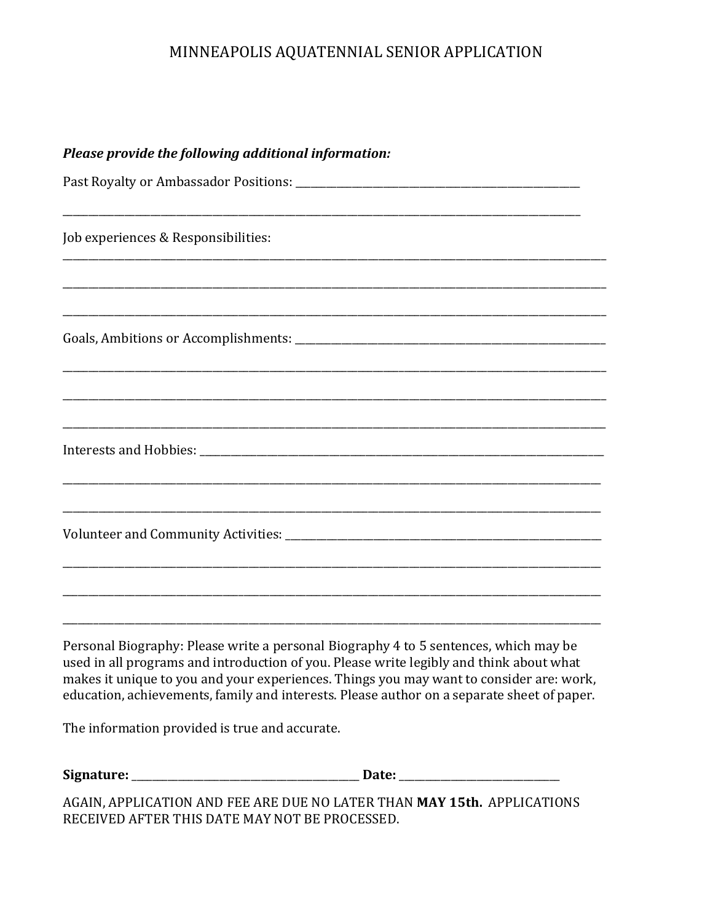|  |  | Please provide the following additional information: |
|--|--|------------------------------------------------------|
|--|--|------------------------------------------------------|

| Job experiences & Responsibilities:<br><u> 1989 - Jan James James James James James James James James James James James James James James James James J</u> |
|-------------------------------------------------------------------------------------------------------------------------------------------------------------|
|                                                                                                                                                             |
|                                                                                                                                                             |
|                                                                                                                                                             |
|                                                                                                                                                             |
|                                                                                                                                                             |
|                                                                                                                                                             |
|                                                                                                                                                             |
|                                                                                                                                                             |
|                                                                                                                                                             |
|                                                                                                                                                             |
|                                                                                                                                                             |
|                                                                                                                                                             |
|                                                                                                                                                             |

Personal Biography: Please write a personal Biography 4 to 5 sentences, which may be used in all programs and introduction of you. Please write legibly and think about what makes it unique to you and your experiences. Things you may want to consider are: work, education, achievements, family and interests. Please author on a separate sheet of paper.

The information provided is true and accurate.

| Signature: |  |
|------------|--|
|------------|--|

AGAIN, APPLICATION AND FEE ARE DUE NO LATER THAN MAY 15th. APPLICATIONS RECEIVED AFTER THIS DATE MAY NOT BE PROCESSED.